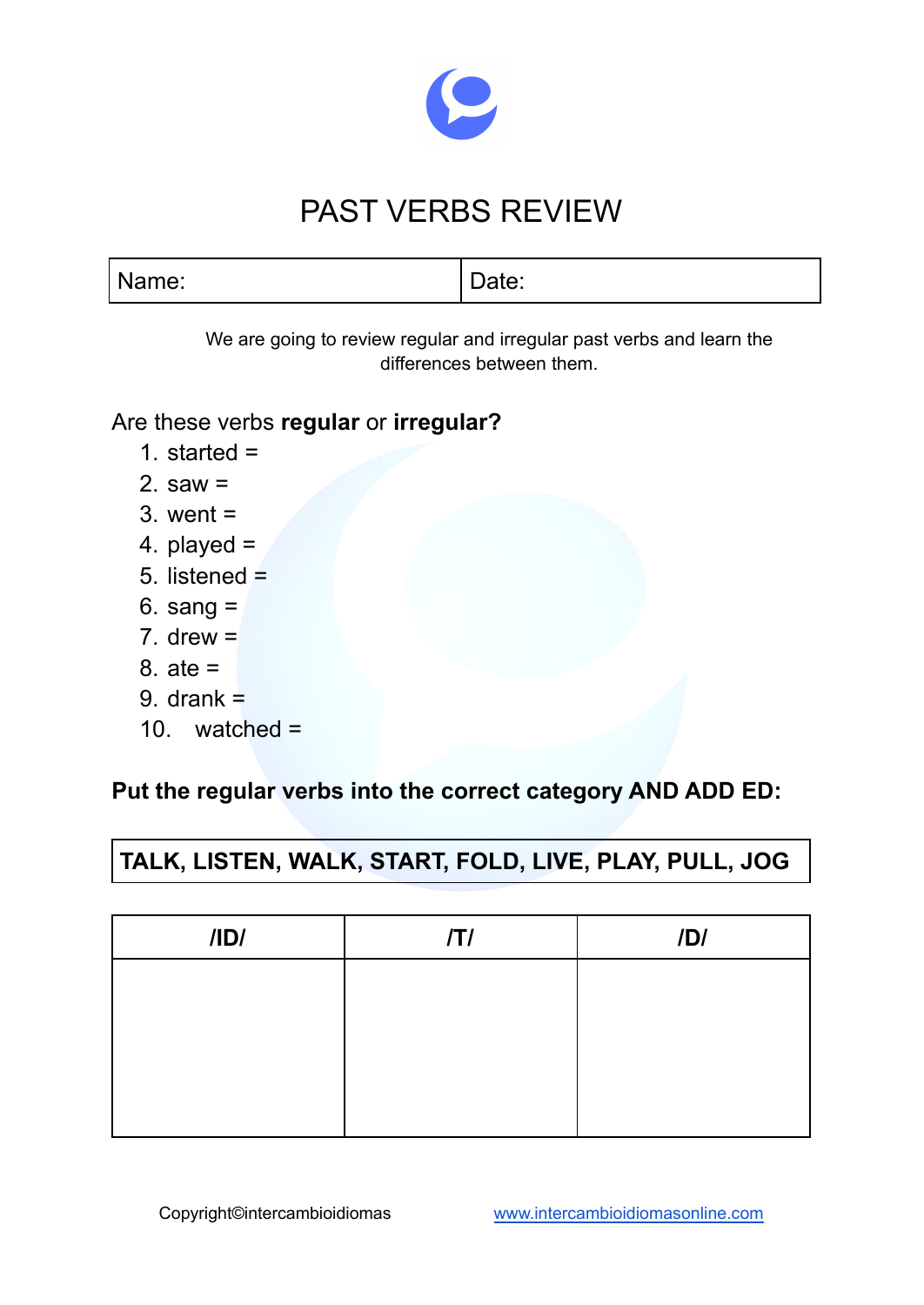

# PAST VERBS REVIEW

| Name: | Date: |
|-------|-------|

We are going to review regular and irregular past verbs and learn the differences between them.

#### Are these verbs **regular** or **irregular?**

- 1. started =
- 2. saw  $=$
- 3. went =
- 4. played =
- 5. listened =
- 6. sang =
- 7. drew  $=$
- 8. ate =
- 9. drank  $=$
- 10. watched =

## **Put the regular verbs into the correct category AND ADD ED:**

# **TALK, LISTEN, WALK, START, FOLD, LIVE, PLAY, PULL, JOG**

| /ID/ | ITI | IDI |
|------|-----|-----|
|      |     |     |
|      |     |     |
|      |     |     |
|      |     |     |